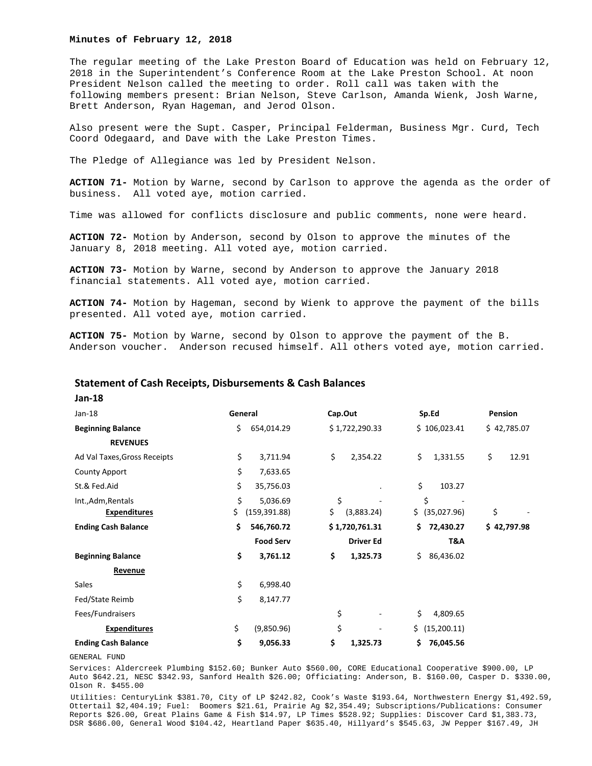## **Minutes of February 12, 2018**

The regular meeting of the Lake Preston Board of Education was held on February 12, 2018 in the Superintendent's Conference Room at the Lake Preston School. At noon President Nelson called the meeting to order. Roll call was taken with the following members present: Brian Nelson, Steve Carlson, Amanda Wienk, Josh Warne, Brett Anderson, Ryan Hageman, and Jerod Olson.

Also present were the Supt. Casper, Principal Felderman, Business Mgr. Curd, Tech Coord Odegaard, and Dave with the Lake Preston Times.

The Pledge of Allegiance was led by President Nelson.

**ACTION 71-** Motion by Warne, second by Carlson to approve the agenda as the order of business. All voted aye, motion carried.

Time was allowed for conflicts disclosure and public comments, none were heard.

**ACTION 72-** Motion by Anderson, second by Olson to approve the minutes of the January 8, 2018 meeting. All voted aye, motion carried.

**ACTION 73-** Motion by Warne, second by Anderson to approve the January 2018 financial statements. All voted aye, motion carried.

**ACTION 74-** Motion by Hageman, second by Wienk to approve the payment of the bills presented. All voted aye, motion carried.

**ACTION 75-** Motion by Warne, second by Olson to approve the payment of the B. Anderson voucher. Anderson recused himself. All others voted aye, motion carried.

# **Statement of Cash Receipts, Disbursements & Cash Balances**

**Jan‐18** 

| $Jan-18$                     | General             | Cap.Out          |                  | Sp.Ed             | Pension     |
|------------------------------|---------------------|------------------|------------------|-------------------|-------------|
| <b>Beginning Balance</b>     | \$.                 | 654,014.29       | \$1,722,290.33   | \$106,023.41      | \$42,785.07 |
| <b>REVENUES</b>              |                     |                  |                  |                   |             |
| Ad Val Taxes, Gross Receipts | \$                  | \$<br>3,711.94   | 2,354.22         | \$<br>1,331.55    | \$<br>12.91 |
| County Apport                | \$                  | 7,633.65         |                  |                   |             |
| St.& Fed.Aid                 | \$                  | 35,756.03        |                  | \$<br>103.27      |             |
| Int., Adm, Rentals           | \$                  | \$<br>5,036.69   |                  | \$                |             |
| <b>Expenditures</b>          | \$<br>(159, 391.88) | \$               | (3,883.24)       | \$ (35,027.96)    | \$          |
| <b>Ending Cash Balance</b>   | \$                  | 546,760.72       | \$1,720,761.31   | 72,430.27<br>\$.  | \$42,797.98 |
|                              |                     | <b>Food Serv</b> | <b>Driver Ed</b> | T&A               |             |
| <b>Beginning Balance</b>     | \$                  | \$<br>3,761.12   | 1,325.73         | Ś.<br>86,436.02   |             |
| Revenue                      |                     |                  |                  |                   |             |
| Sales                        | \$                  | 6,998.40         |                  |                   |             |
| Fed/State Reimb              | \$                  | 8,147.77         |                  |                   |             |
| Fees/Fundraisers             |                     | \$               |                  | \$<br>4,809.65    |             |
| <b>Expenditures</b>          | \$                  | \$<br>(9,850.96) |                  | \$<br>(15,200.11) |             |
| <b>Ending Cash Balance</b>   | \$                  | \$<br>9,056.33   | 1,325.73         | \$<br>76,045.56   |             |

GENERAL FUND

Services: Aldercreek Plumbing \$152.60; Bunker Auto \$560.00, CORE Educational Cooperative \$900.00, LP Auto \$642.21, NESC \$342.93, Sanford Health \$26.00; Officiating: Anderson, B. \$160.00, Casper D. \$330.00, Olson R. \$455.00

Utilities: CenturyLink \$381.70, City of LP \$242.82, Cook's Waste \$193.64, Northwestern Energy \$1,492.59, Ottertail \$2,404.19; Fuel: Boomers \$21.61, Prairie Ag \$2,354.49; Subscriptions/Publications: Consumer Reports \$26.00, Great Plains Game & Fish \$14.97, LP Times \$528.92; Supplies: Discover Card \$1,383.73, DSR \$686.00, General Wood \$104.42, Heartland Paper \$635.40, Hillyard's \$545.63, JW Pepper \$167.49, JH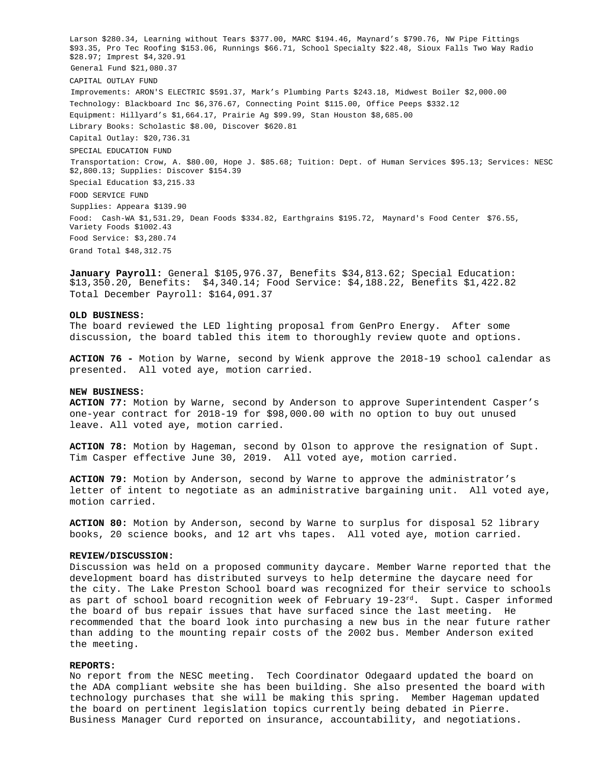Larson \$280.34, Learning without Tears \$377.00, MARC \$194.46, Maynard's \$790.76, NW Pipe Fittings \$93.35, Pro Tec Roofing \$153.06, Runnings \$66.71, School Specialty \$22.48, Sioux Falls Two Way Radio \$28.97; Imprest \$4,320.91 General Fund \$21,080.37 CAPITAL OUTLAY FUND Improvements: ARON'S ELECTRIC \$591.37, Mark's Plumbing Parts \$243.18, Midwest Boiler \$2,000.00 Technology: Blackboard Inc \$6,376.67, Connecting Point \$115.00, Office Peeps \$332.12 Equipment: Hillyard's \$1,664.17, Prairie Ag \$99.99, Stan Houston \$8,685.00 Library Books: Scholastic \$8.00, Discover \$620.81 Capital Outlay: \$20,736.31 SPECIAL EDUCATION FUND Transportation: Crow, A. \$80.00, Hope J. \$85.68; Tuition: Dept. of Human Services \$95.13; Services: NESC \$2,800.13; Supplies: Discover \$154.39 Special Education \$3,215.33 FOOD SERVICE FUND Supplies: Appeara \$139.90 Food: Cash-WA \$1,531.29, Dean Foods \$334.82, Earthgrains \$195.72, Maynard's Food Center \$76.55, Variety Foods \$1002.43 Food Service: \$3,280.74 Grand Total \$48,312.75

**January Payroll:** General \$105,976.37, Benefits \$34,813.62; Special Education: \$13,350.20, Benefits: \$4,340.14; Food Service: \$4,188.22, Benefits \$1,422.82 Total December Payroll: \$164,091.37

### **OLD BUSINESS:**

The board reviewed the LED lighting proposal from GenPro Energy. After some discussion, the board tabled this item to thoroughly review quote and options.

**ACTION 76 -** Motion by Warne, second by Wienk approve the 2018-19 school calendar as presented. All voted aye, motion carried.

#### **NEW BUSINESS:**

**ACTION 77:** Motion by Warne, second by Anderson to approve Superintendent Casper's one-year contract for 2018-19 for \$98,000.00 with no option to buy out unused leave. All voted aye, motion carried.

**ACTION 78:** Motion by Hageman, second by Olson to approve the resignation of Supt. Tim Casper effective June 30, 2019. All voted aye, motion carried.

**ACTION 79:** Motion by Anderson, second by Warne to approve the administrator's letter of intent to negotiate as an administrative bargaining unit. All voted aye, motion carried.

**ACTION 80:** Motion by Anderson, second by Warne to surplus for disposal 52 library books, 20 science books, and 12 art vhs tapes. All voted aye, motion carried.

#### **REVIEW/DISCUSSION:**

Discussion was held on a proposed community daycare. Member Warne reported that the development board has distributed surveys to help determine the daycare need for the city. The Lake Preston School board was recognized for their service to schools as part of school board recognition week of February 19-23<sup>rd</sup>. Supt. Casper informed the board of bus repair issues that have surfaced since the last meeting. He recommended that the board look into purchasing a new bus in the near future rather than adding to the mounting repair costs of the 2002 bus. Member Anderson exited the meeting.

### **REPORTS:**

No report from the NESC meeting. Tech Coordinator Odegaard updated the board on the ADA compliant website she has been building. She also presented the board with technology purchases that she will be making this spring. Member Hageman updated the board on pertinent legislation topics currently being debated in Pierre. Business Manager Curd reported on insurance, accountability, and negotiations.